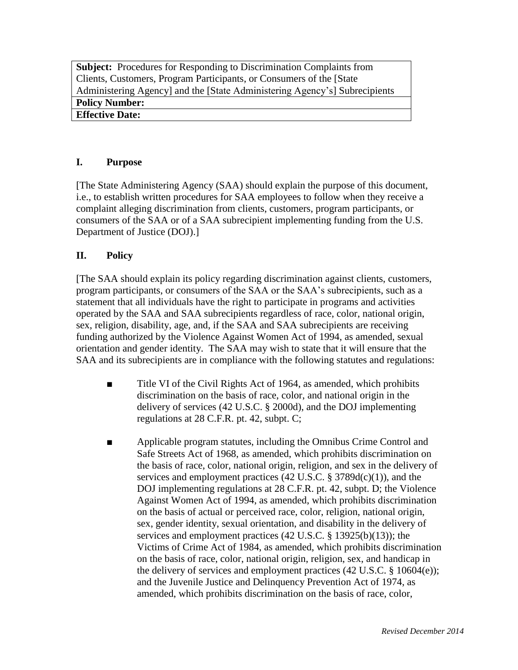**Subject:** Procedures for Responding to Discrimination Complaints from Clients, Customers, Program Participants, or Consumers of the [State Administering Agency] and the [State Administering Agency's] Subrecipients **Policy Number: Effective Date:** 

## **I. Purpose**

[The State Administering Agency (SAA) should explain the purpose of this document, i.e., to establish written procedures for SAA employees to follow when they receive a complaint alleging discrimination from clients, customers, program participants, or consumers of the SAA or of a SAA subrecipient implementing funding from the U.S. Department of Justice (DOJ).]

## **II. Policy**

[The SAA should explain its policy regarding discrimination against clients, customers, program participants, or consumers of the SAA or the SAA's subrecipients, such as a statement that all individuals have the right to participate in programs and activities operated by the SAA and SAA subrecipients regardless of race, color, national origin, sex, religion, disability, age, and, if the SAA and SAA subrecipients are receiving funding authorized by the Violence Against Women Act of 1994, as amended, sexual orientation and gender identity. The SAA may wish to state that it will ensure that the SAA and its subrecipients are in compliance with the following statutes and regulations:

- Title VI of the Civil Rights Act of 1964, as amended, which prohibits discrimination on the basis of race, color, and national origin in the delivery of services (42 U.S.C. § 2000d), and the DOJ implementing regulations at 28 C.F.R. pt. 42, subpt. C;
- Applicable program statutes, including the Omnibus Crime Control and Safe Streets Act of 1968, as amended, which prohibits discrimination on the basis of race, color, national origin, religion, and sex in the delivery of services and employment practices (42 U.S.C. § 3789d(c)(1)), and the DOJ implementing regulations at 28 C.F.R. pt. 42, subpt. D; the Violence Against Women Act of 1994, as amended, which prohibits discrimination on the basis of actual or perceived race, color, religion, national origin, sex, gender identity, sexual orientation, and disability in the delivery of services and employment practices (42 U.S.C. § 13925(b)(13)); the Victims of Crime Act of 1984, as amended, which prohibits discrimination on the basis of race, color, national origin, religion, sex, and handicap in the delivery of services and employment practices (42 U.S.C. § 10604(e)); and the Juvenile Justice and Delinquency Prevention Act of 1974, as amended, which prohibits discrimination on the basis of race, color,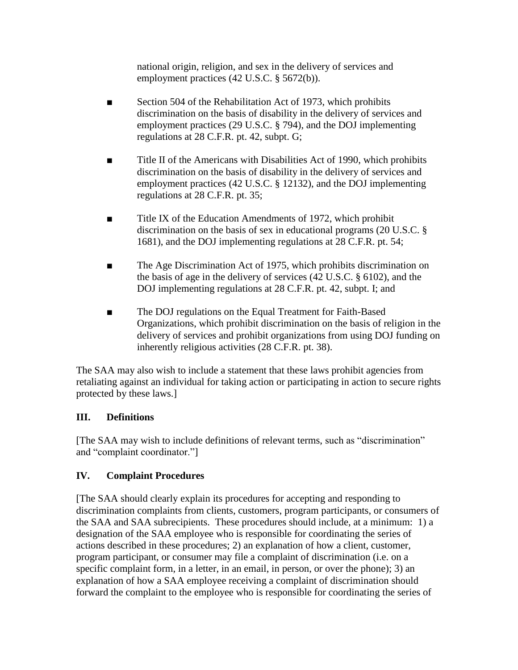national origin, religion, and sex in the delivery of services and employment practices (42 U.S.C. § 5672(b)).

- Section 504 of the Rehabilitation Act of 1973, which prohibits discrimination on the basis of disability in the delivery of services and employment practices (29 U.S.C. § 794), and the DOJ implementing regulations at 28 C.F.R. pt. 42, subpt. G;
- Title II of the Americans with Disabilities Act of 1990, which prohibits discrimination on the basis of disability in the delivery of services and employment practices (42 U.S.C. § 12132), and the DOJ implementing regulations at 28 C.F.R. pt. 35;
- Title IX of the Education Amendments of 1972, which prohibit discrimination on the basis of sex in educational programs (20 U.S.C. § 1681), and the DOJ implementing regulations at 28 C.F.R. pt. 54;
- The Age Discrimination Act of 1975, which prohibits discrimination on the basis of age in the delivery of services (42 U.S.C. § 6102), and the DOJ implementing regulations at 28 C.F.R. pt. 42, subpt. I; and
- The DOJ regulations on the Equal Treatment for Faith-Based Organizations, which prohibit discrimination on the basis of religion in the delivery of services and prohibit organizations from using DOJ funding on inherently religious activities (28 C.F.R. pt. 38).

The SAA may also wish to include a statement that these laws prohibit agencies from retaliating against an individual for taking action or participating in action to secure rights protected by these laws.]

# **III. Definitions**

[The SAA may wish to include definitions of relevant terms, such as "discrimination" and "complaint coordinator."]

# **IV. Complaint Procedures**

[The SAA should clearly explain its procedures for accepting and responding to discrimination complaints from clients, customers, program participants, or consumers of the SAA and SAA subrecipients. These procedures should include, at a minimum: 1) a designation of the SAA employee who is responsible for coordinating the series of actions described in these procedures; 2) an explanation of how a client, customer, program participant, or consumer may file a complaint of discrimination (i.e. on a specific complaint form, in a letter, in an email, in person, or over the phone); 3) an explanation of how a SAA employee receiving a complaint of discrimination should forward the complaint to the employee who is responsible for coordinating the series of